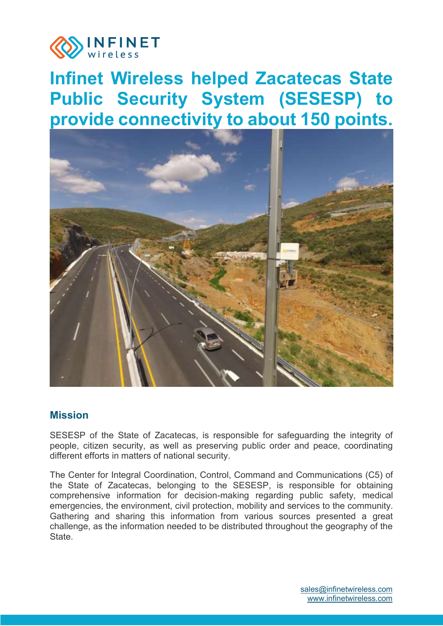

# **Infinet Wireless helped Zacatecas State Public Security System (SESESP) to provide connectivity to about 150 points.**



#### **Mission**

SESESP of the State of Zacatecas, is responsible for safeguarding the integrity of people, citizen security, as well as preserving public order and peace, coordinating different efforts in matters of national security.

The Center for Integral Coordination, Control, Command and Communications (C5) of the State of Zacatecas, belonging to the SESESP, is responsible for obtaining comprehensive information for decision-making regarding public safety, medical emergencies, the environment, civil protection, mobility and services to the community. Gathering and sharing this information from various sources presented a great challenge, as the information needed to be distributed throughout the geography of the **State**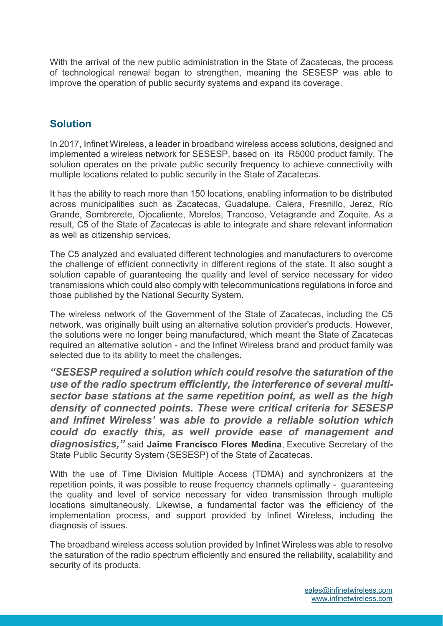With the arrival of the new public administration in the State of Zacatecas, the process of technological renewal began to strengthen, meaning the SESESP was able to improve the operation of public security systems and expand its coverage.

## **Solution**

In 2017, Infinet Wireless, a leader in broadband wireless access solutions, designed and implemented a wireless network for SESESP, based on its R5000 product family. The solution operates on the private public security frequency to achieve connectivity with multiple locations related to public security in the State of Zacatecas.

It has the ability to reach more than 150 locations, enabling information to be distributed across municipalities such as Zacatecas, Guadalupe, Calera, Fresnillo, Jerez, Río Grande, Sombrerete, Ojocaliente, Morelos, Trancoso, Vetagrande and Zoquite. As a result, C5 of the State of Zacatecas is able to integrate and share relevant information as well as citizenship services.

The C5 analyzed and evaluated different technologies and manufacturers to overcome the challenge of efficient connectivity in different regions of the state. It also sought a solution capable of guaranteeing the quality and level of service necessary for video transmissions which could also comply with telecommunications regulations in force and those published by the National Security System.

The wireless network of the Government of the State of Zacatecas, including the C5 network, was originally built using an alternative solution provider's products. However, the solutions were no longer being manufactured, which meant the State of Zacatecas required an alternative solution - and the Infinet Wireless brand and product family was selected due to its ability to meet the challenges.

*"SESESP required a solution which could resolve the saturation of the use of the radio spectrum efficiently, the interference of several multisector base stations at the same repetition point, as well as the high density of connected points. These were critical criteria for SESESP and Infinet Wireless' was able to provide a reliable solution which could do exactly this, as well provide ease of management and diagnosistics,"* said **Jaime Francisco Flores Medina**, Executive Secretary of the State Public Security System (SESESP) of the State of Zacatecas.

With the use of Time Division Multiple Access (TDMA) and synchronizers at the repetition points, it was possible to reuse frequency channels optimally - guaranteeing the quality and level of service necessary for video transmission through multiple locations simultaneously. Likewise, a fundamental factor was the efficiency of the implementation process, and support provided by Infinet Wireless, including the diagnosis of issues.

The broadband wireless access solution provided by Infinet Wireless was able to resolve the saturation of the radio spectrum efficiently and ensured the reliability, scalability and security of its products.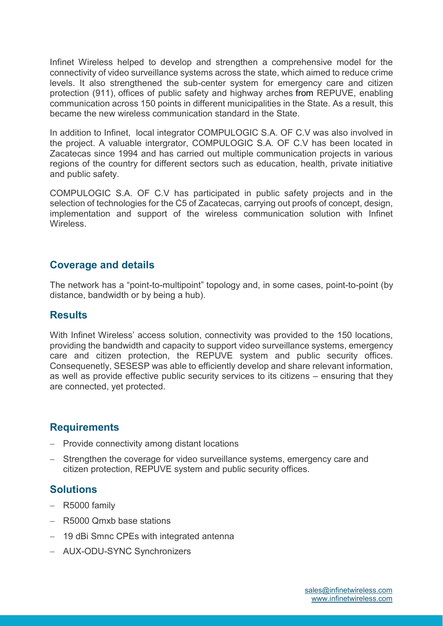Infinet Wireless helped to develop and strengthen a comprehensive model for the connectivity of video surveillance systems across the state, which aimed to reduce crime levels. It also strengthened the sub-center system for emergency care and citizen protection (911), offices of public safety and highway arches from REPUVE, enabling communication across 150 points in different municipalities in the State. As a result, this became the new wireless communication standard in the State.

In addition to Infinet, local integrator COMPULOGIC S.A. OF C.V was also involved in the project. A valuable intergrator, COMPULOGIC S.A. OF C.V has been located in Zacatecas since 1994 and has carried out multiple communication projects in various regions of the country for different sectors such as education, health, private initiative and public safety.

COMPULOGIC S.A. OF C.V has participated in public safety projects and in the selection of technologies for the C5 of Zacatecas, carrying out proofs of concept, design, implementation and support of the wireless communication solution with Infinet **Wireless** 

#### **Coverage and details**

The network has a "point-to-multipoint" topology and, in some cases, point-to-point (by distance, bandwidth or by being a hub).

#### **Results**

With Infinet Wireless' access solution, connectivity was provided to the 150 locations, providing the bandwidth and capacity to support video surveillance systems, emergency care and citizen protection, the REPUVE system and public security offices. Consequenetly, SESESP was able to efficiently develop and share relevant information, as well as provide effective public security services to its citizens – ensuring that they are connected, yet protected.

#### **Requirements**

- Provide connectivity among distant locations
- Strengthen the coverage for video surveillance systems, emergency care and citizen protection, REPUVE system and public security offices.

### **Solutions**

- $-$  R5000 family
- R5000 Qmxb base stations
- 19 dBi Smnc CPEs with integrated antenna
- AUX-ODU-SYNC Synchronizers